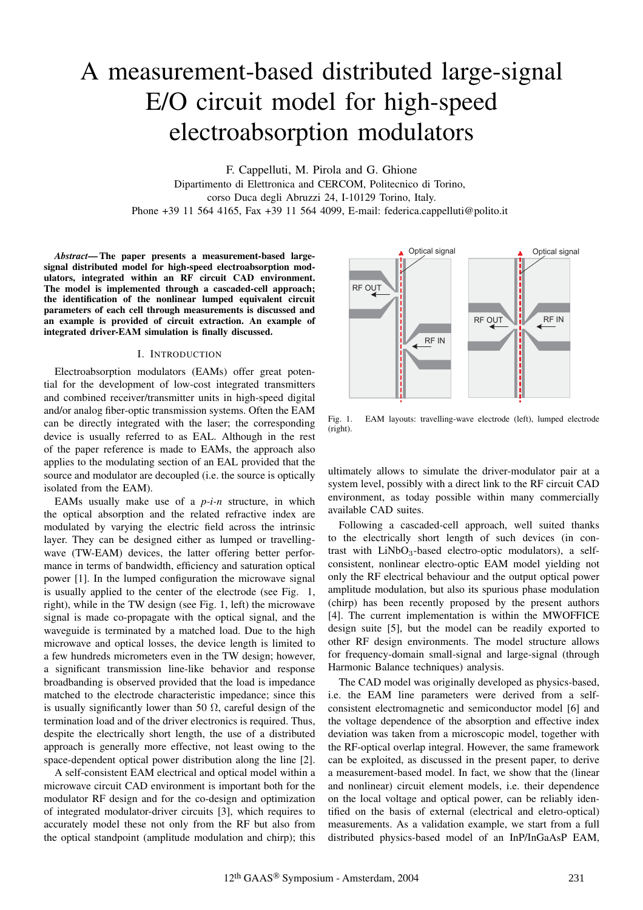# A measurement-based distributed large-signal E/O circuit model for high-speed electroabsorption modulators

F. Cappelluti, M. Pirola and G. Ghione

Dipartimento di Elettronica and CERCOM, Politecnico di Torino,

corso Duca degli Abruzzi 24, I-10129 Torino, Italy.

Phone +39 11 564 4165, Fax +39 11 564 4099, E-mail: federica.cappelluti@polito.it

*Abstract***— The paper presents a measurement-based largesignal distributed model for high-speed electroabsorption modulators, integrated within an RF circuit CAD environment. The model is implemented through a cascaded-cell approach; the identification of the nonlinear lumped equivalent circuit parameters of each cell through measurements is discussed and an example is provided of circuit extraction. An example of integrated driver-EAM simulation is finally discussed.**

### I. INTRODUCTION

Electroabsorption modulators (EAMs) offer great potential for the development of low-cost integrated transmitters and combined receiver/transmitter units in high-speed digital and/or analog fiber-optic transmission systems. Often the EAM can be directly integrated with the laser; the corresponding device is usually referred to as EAL. Although in the rest of the paper reference is made to EAMs, the approach also applies to the modulating section of an EAL provided that the source and modulator are decoupled (i.e. the source is optically isolated from the EAM).

EAMs usually make use of a *p-i-n* structure, in which the optical absorption and the related refractive index are modulated by varying the electric field across the intrinsic layer. They can be designed either as lumped or travellingwave (TW-EAM) devices, the latter offering better performance in terms of bandwidth, efficiency and saturation optical power [1]. In the lumped configuration the microwave signal is usually applied to the center of the electrode (see Fig. 1, right), while in the TW design (see Fig. 1, left) the microwave signal is made co-propagate with the optical signal, and the waveguide is terminated by a matched load. Due to the high microwave and optical losses, the device length is limited to a few hundreds micrometers even in the TW design; however, a significant transmission line-like behavior and response broadbanding is observed provided that the load is impedance matched to the electrode characteristic impedance; since this is usually significantly lower than 50  $\Omega$ , careful design of the termination load and of the driver electronics is required. Thus, despite the electrically short length, the use of a distributed approach is generally more effective, not least owing to the space-dependent optical power distribution along the line [2].

A self-consistent EAM electrical and optical model within a microwave circuit CAD environment is important both for the modulator RF design and for the co-design and optimization of integrated modulator-driver circuits [3], which requires to accurately model these not only from the RF but also from the optical standpoint (amplitude modulation and chirp); this



Fig. 1. EAM layouts: travelling-wave electrode (left), lumped electrode (right).

ultimately allows to simulate the driver-modulator pair at a system level, possibly with a direct link to the RF circuit CAD environment, as today possible within many commercially available CAD suites.

Following a cascaded-cell approach, well suited thanks to the electrically short length of such devices (in contrast with  $LiNbO<sub>3</sub>$ -based electro-optic modulators), a selfconsistent, nonlinear electro-optic EAM model yielding not only the RF electrical behaviour and the output optical power amplitude modulation, but also its spurious phase modulation (chirp) has been recently proposed by the present authors [4]. The current implementation is within the MWOFFICE design suite [5], but the model can be readily exported to other RF design environments. The model structure allows for frequency-domain small-signal and large-signal (through Harmonic Balance techniques) analysis.

The CAD model was originally developed as physics-based, i.e. the EAM line parameters were derived from a selfconsistent electromagnetic and semiconductor model [6] and the voltage dependence of the absorption and effective index deviation was taken from a microscopic model, together with the RF-optical overlap integral. However, the same framework can be exploited, as discussed in the present paper, to derive a measurement-based model. In fact, we show that the (linear and nonlinear) circuit element models, i.e. their dependence on the local voltage and optical power, can be reliably identified on the basis of external (electrical and eletro-optical) measurements. As a validation example, we start from a full distributed physics-based model of an InP/InGaAsP EAM,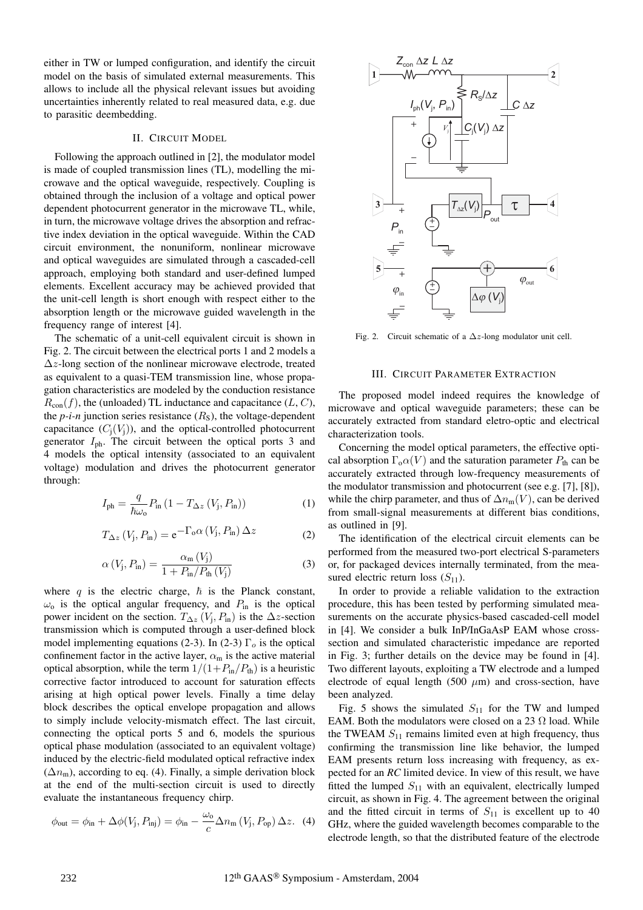either in TW or lumped configuration, and identify the circuit model on the basis of simulated external measurements. This allows to include all the physical relevant issues but avoiding uncertainties inherently related to real measured data, e.g. due to parasitic deembedding.

## II. CIRCUIT MODEL

Following the approach outlined in [2], the modulator model is made of coupled transmission lines (TL), modelling the microwave and the optical waveguide, respectively. Coupling is obtained through the inclusion of a voltage and optical power dependent photocurrent generator in the microwave TL, while, in turn, the microwave voltage drives the absorption and refractive index deviation in the optical waveguide. Within the CAD circuit environment, the nonuniform, nonlinear microwave and optical waveguides are simulated through a cascaded-cell approach, employing both standard and user-defined lumped elements. Excellent accuracy may be achieved provided that the unit-cell length is short enough with respect either to the absorption length or the microwave guided wavelength in the frequency range of interest [4].

The schematic of a unit-cell equivalent circuit is shown in Fig. 2. The circuit between the electrical ports 1 and 2 models a  $\Delta z$ -long section of the nonlinear microwave electrode, treated as equivalent to a quasi-TEM transmission line, whose propagation characteristics are modeled by the conduction resistance  $R_{con}(f)$ , the (unloaded) TL inductance and capacitance  $(L, C)$ , the  $p-i-n$  junction series resistance  $(R<sub>S</sub>)$ , the voltage-dependent capacitance  $(C_i(V_i))$ , and the optical-controlled photocurrent generator  $I_{\text{ph}}$ . The circuit between the optical ports 3 and 4 models the optical intensity (associated to an equivalent voltage) modulation and drives the photocurrent generator through:

$$
I_{\rm ph} = \frac{q}{\hbar \omega_{\rm o}} P_{\rm in} \left( 1 - T_{\Delta z} \left( V_{\rm j}, P_{\rm in} \right) \right) \tag{1}
$$

$$
T_{\Delta z} (V_{\mathbf{j}}, P_{\mathbf{in}}) = e^{-\Gamma_{0} \alpha (V_{\mathbf{j}}, P_{\mathbf{in}}) \Delta z}
$$
 (2)

$$
\alpha\left(V_{\mathbf{j}}, P_{\mathbf{in}}\right) = \frac{\alpha_{\mathbf{m}}\left(V_{\mathbf{j}}\right)}{1 + P_{\mathbf{in}}/P_{\mathbf{th}}\left(V_{\mathbf{j}}\right)}\tag{3}
$$

where q is the electric charge,  $\hbar$  is the Planck constant,  $\omega_0$  is the optical angular frequency, and  $P_{\text{in}}$  is the optical power incident on the section.  $T_{\Delta z}$  (V<sub>j</sub>, P<sub>in</sub>) is the  $\Delta z$ -section transmission which is computed through a user-defined block model implementing equations (2-3). In (2-3)  $\Gamma_o$  is the optical confinement factor in the active layer,  $\alpha_m$  is the active material optical absorption, while the term  $1/(1+P_{\text{in}}/P_{\text{th}})$  is a heuristic corrective factor introduced to account for saturation effects arising at high optical power levels. Finally a time delay block describes the optical envelope propagation and allows to simply include velocity-mismatch effect. The last circuit, connecting the optical ports 5 and 6, models the spurious optical phase modulation (associated to an equivalent voltage) induced by the electric-field modulated optical refractive index  $(\Delta n_{\rm m})$ , according to eq. (4). Finally, a simple derivation block at the end of the multi-section circuit is used to directly evaluate the instantaneous frequency chirp.

$$
\phi_{\text{out}} = \phi_{\text{in}} + \Delta\phi(V_{\text{j}}, P_{\text{inj}}) = \phi_{\text{in}} - \frac{\omega_{\text{o}}}{c} \Delta n_{\text{m}}(V_{\text{j}}, P_{\text{op}}) \Delta z. \tag{4}
$$



Fig. 2. Circuit schematic of a  $\Delta z$ -long modulator unit cell.

## III. CIRCUIT PARAMETER EXTRACTION

The proposed model indeed requires the knowledge of microwave and optical waveguide parameters; these can be accurately extracted from standard eletro-optic and electrical characterization tools.

Concerning the model optical parameters, the effective optical absorption  $\Gamma_0 \alpha(V)$  and the saturation parameter  $P_{\text{th}}$  can be accurately extracted through low-frequency measurements of the modulator transmission and photocurrent (see e.g. [7], [8]), while the chirp parameter, and thus of  $\Delta n_{m}(V)$ , can be derived from small-signal measurements at different bias conditions, as outlined in [9].

The identification of the electrical circuit elements can be performed from the measured two-port electrical S-parameters or, for packaged devices internally terminated, from the measured electric return loss  $(S_{11})$ .

In order to provide a reliable validation to the extraction procedure, this has been tested by performing simulated measurements on the accurate physics-based cascaded-cell model in [4]. We consider a bulk InP/InGaAsP EAM whose crosssection and simulated characteristic impedance are reported in Fig. 3; further details on the device may be found in [4]. Two different layouts, exploiting a TW electrode and a lumped electrode of equal length (500  $\mu$ m) and cross-section, have been analyzed.

Fig. 5 shows the simulated  $S_{11}$  for the TW and lumped EAM. Both the modulators were closed on a 23  $\Omega$  load. While the TWEAM  $S_{11}$  remains limited even at high frequency, thus confirming the transmission line like behavior, the lumped EAM presents return loss increasing with frequency, as expected for an *RC* limited device. In view of this result, we have fitted the lumped  $S_{11}$  with an equivalent, electrically lumped circuit, as shown in Fig. 4. The agreement between the original and the fitted circuit in terms of  $S_{11}$  is excellent up to 40 GHz, where the guided wavelength becomes comparable to the electrode length, so that the distributed feature of the electrode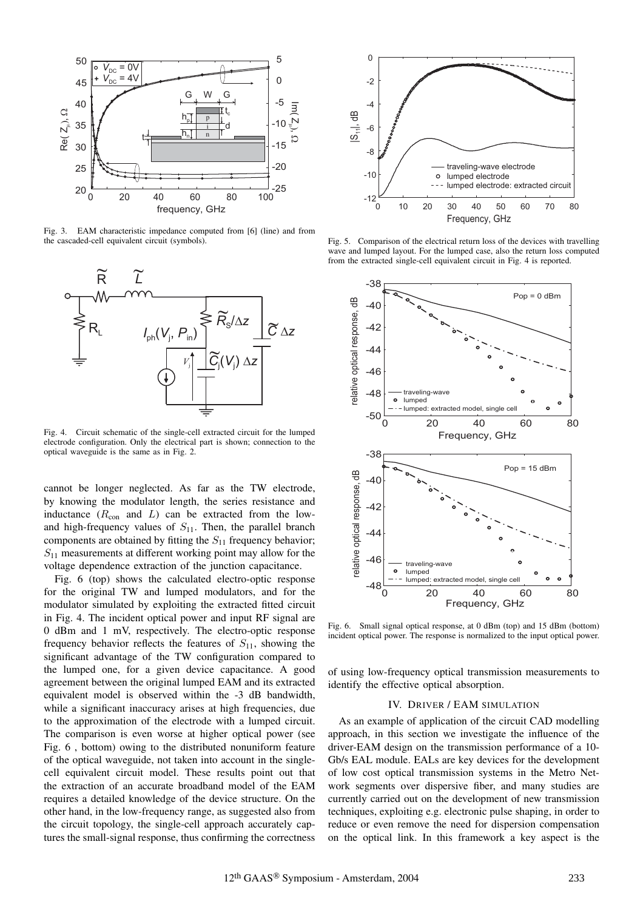

Fig. 3. EAM characteristic impedance computed from [6] (line) and from the cascaded-cell equivalent circuit (symbols).



Fig. 4. Circuit schematic of the single-cell extracted circuit for the lumped electrode configuration. Only the electrical part is shown; connection to the optical waveguide is the same as in Fig. 2.

cannot be longer neglected. As far as the TW electrode, by knowing the modulator length, the series resistance and inductance  $(R_{con}$  and  $L$ ) can be extracted from the lowand high-frequency values of  $S_{11}$ . Then, the parallel branch components are obtained by fitting the  $S_{11}$  frequency behavior;  $S_{11}$  measurements at different working point may allow for the voltage dependence extraction of the junction capacitance.

Fig. 6 (top) shows the calculated electro-optic response for the original TW and lumped modulators, and for the modulator simulated by exploiting the extracted fitted circuit in Fig. 4. The incident optical power and input RF signal are 0 dBm and 1 mV, respectively. The electro-optic response frequency behavior reflects the features of  $S_{11}$ , showing the significant advantage of the TW configuration compared to the lumped one, for a given device capacitance. A good agreement between the original lumped EAM and its extracted equivalent model is observed within the -3 dB bandwidth, while a significant inaccuracy arises at high frequencies, due to the approximation of the electrode with a lumped circuit. The comparison is even worse at higher optical power (see Fig. 6 , bottom) owing to the distributed nonuniform feature of the optical waveguide, not taken into account in the singlecell equivalent circuit model. These results point out that the extraction of an accurate broadband model of the EAM requires a detailed knowledge of the device structure. On the other hand, in the low-frequency range, as suggested also from the circuit topology, the single-cell approach accurately captures the small-signal response, thus confirming the correctness



Fig. 5. Comparison of the electrical return loss of the devices with travelling wave and lumped layout. For the lumped case, also the return loss computed from the extracted single-cell equivalent circuit in Fig. 4 is reported.



Fig. 6. Small signal optical response, at 0 dBm (top) and 15 dBm (bottom) incident optical power. The response is normalized to the input optical power.

of using low-frequency optical transmission measurements to identify the effective optical absorption.

## IV. DRIVER / EAM SIMULATION

As an example of application of the circuit CAD modelling approach, in this section we investigate the influence of the driver-EAM design on the transmission performance of a 10- Gb/s EAL module. EALs are key devices for the development of low cost optical transmission systems in the Metro Network segments over dispersive fiber, and many studies are currently carried out on the development of new transmission techniques, exploiting e.g. electronic pulse shaping, in order to reduce or even remove the need for dispersion compensation on the optical link. In this framework a key aspect is the